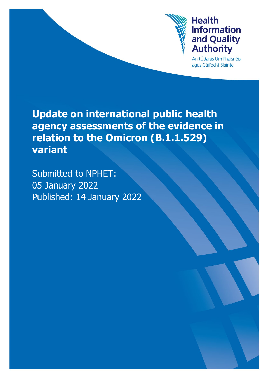

An tÚdarás Um Fhaisnéis agus Cáilíocht Sláinte

**Update on international public health agency assessments of the evidence in relation to the Omicron (B.1.1.529) variant**

Submitted to NPHET: 05 January 2022 Published: 14 January 2022

Health Information and Quality Authority Authority Authority Authority Authority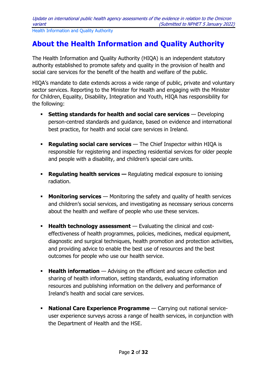## <span id="page-1-0"></span>**About the Health Information and Quality Authority**

The Health Information and Quality Authority (HIQA) is an independent statutory authority established to promote safety and quality in the provision of health and social care services for the benefit of the health and welfare of the public.

HIQA's mandate to date extends across a wide range of public, private and voluntary sector services. Reporting to the Minister for Health and engaging with the Minister for Children, Equality, Disability, Integration and Youth, HIQA has responsibility for the following:

- **Setting standards for health and social care services** Developing person-centred standards and guidance, based on evidence and international best practice, for health and social care services in Ireland.
- **Regulating social care services** The Chief Inspector within HIQA is responsible for registering and inspecting residential services for older people and people with a disability, and children's special care units.
- **Requisting health services —** Regulating medical exposure to ionising radiation.
- **Monitoring services** Monitoring the safety and quality of health services and children's social services, and investigating as necessary serious concerns about the health and welfare of people who use these services.
- **Health technology assessment** Evaluating the clinical and costeffectiveness of health programmes, policies, medicines, medical equipment, diagnostic and surgical techniques, health promotion and protection activities, and providing advice to enable the best use of resources and the best outcomes for people who use our health service.
- **Health information** Advising on the efficient and secure collection and sharing of health information, setting standards, evaluating information resources and publishing information on the delivery and performance of Ireland's health and social care services.
- **National Care Experience Programme** Carrying out national serviceuser experience surveys across a range of health services, in conjunction with the Department of Health and the HSE.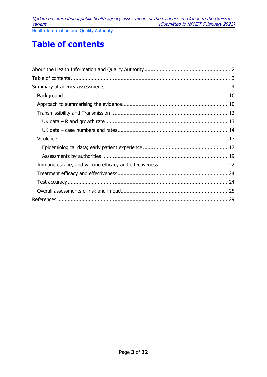Update on international public health agency assessments of the evidence in relation to the Omicron variant (Submitted to NPHET 5 January 2022)

Health Information and Quality Authority

# <span id="page-2-0"></span>**Table of contents**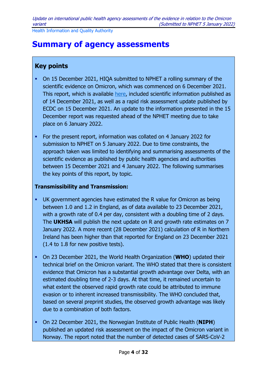# <span id="page-3-0"></span>**Summary of agency assessments**

## **Key points**

- On 15 December 2021, HIQA submitted to NPHET a rolling summary of the scientific evidence on Omicron, which was commenced on 6 December 2021. This report, which is available [here,](https://www.hiqa.ie/reports-and-publications/health-technology-assessment/summaries-evidence-and-international-public) included scientific information published as of 14 December 2021, as well as a rapid risk assessment update published by ECDC on 15 December 2021. An update to the information presented in the 15 December report was requested ahead of the NPHET meeting due to take place on 6 January 2022.
- For the present report, information was collated on 4 January 2022 for submission to NPHET on 5 January 2022. Due to time constraints, the approach taken was limited to identifying and summarising assessments of the scientific evidence as published by public health agencies and authorities between 15 December 2021 and 4 January 2022. The following summarises the key points of this report, by topic.

### **Transmissibility and Transmission:**

- UK government agencies have estimated the R value for Omicron as being between 1.0 and 1.2 in England, as of data available to 23 December 2021, with a growth rate of 0.4 per day, consistent with a doubling time of 2 days. The **UKHSA** will publish the next update on R and growth rate estimates on 7 January 2022. A more recent (28 December 2021) calculation of R in Northern Ireland has been higher than that reported for England on 23 December 2021 (1.4 to 1.8 for new positive tests).
- On 23 December 2021, the World Health Organization (**WHO**) updated their technical brief on the Omicron variant. The WHO stated that there is consistent evidence that Omicron has a substantial growth advantage over Delta, with an estimated doubling time of 2-3 days. At that time, it remained uncertain to what extent the observed rapid growth rate could be attributed to immune evasion or to inherent increased transmissibility. The WHO concluded that, based on several preprint studies, the observed growth advantage was likely due to a combination of both factors.
- On 22 December 2021, the Norwegian Institute of Public Health (**NIPH**) published an updated risk assessment on the impact of the Omicron variant in Norway. The report noted that the number of detected cases of SARS-CoV-2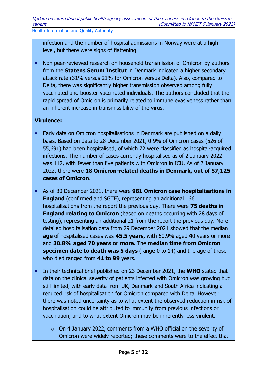infection and the number of hospital admissions in Norway were at a high level, but there were signs of flattening.

• Non peer-reviewed research on household transmission of Omicron by authors from the **Statens Serum Institut** in Denmark indicated a higher secondary attack rate (31% versus 21% for Omicron versus Delta). Also, compared to Delta, there was significantly higher transmission observed among fully vaccinated and booster-vaccinated individuals. The authors concluded that the rapid spread of Omicron is primarily related to immune evasiveness rather than an inherent increase in transmissibility of the virus.

### **Virulence:**

- **Early data on Omicron hospitalisations in Denmark are published on a daily** basis. Based on data to 28 December 2021, 0.9% of Omicron cases (526 of 55,691) had been hospitalised, of which 72 were classified as hospital-acquired infections. The number of cases currently hospitalised as of 2 January 2022 was 112, with fewer than five patients with Omicron in ICU. As of 2 January 2022, there were **18 Omicron-related deaths in Denmark, out of 57,125 cases of Omicron**.
- As of 30 December 2021, there were **981 Omicron case hospitalisations in England** (confirmed and SGTF), representing an additional 166 hospitalisations from the report the previous day. There were **75 deaths in England relating to Omicron** (based on deaths occurring with 28 days of testing), representing an additional 21 from the report the previous day. More detailed hospitalisation data from 29 December 2021 showed that the median **age** of hospitalised cases was **45.5 years,** with 60.9% aged 40 years or more and **30.8% aged 70 years or more**. The **median time from Omicron specimen date to death was 5 days** (range 0 to 14) and the age of those who died ranged from **41 to 99** years.
- In their technical brief published on 23 December 2021, the **WHO** stated that data on the clinical severity of patients infected with Omicron was growing but still limited, with early data from UK, Denmark and South Africa indicating a reduced risk of hospitalisation for Omicron compared with Delta. However, there was noted uncertainty as to what extent the observed reduction in risk of hospitalisation could be attributed to immunity from previous infections or vaccination, and to what extent Omicron may be inherently less virulent.
	- o On 4 January 2022, comments from a WHO official on the severity of Omicron were widely reported; these comments were to the effect that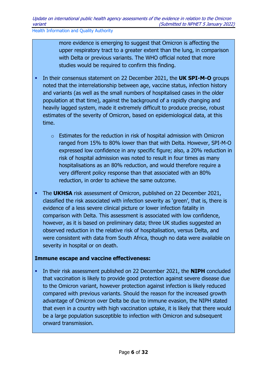more evidence is emerging to suggest that Omicron is affecting the upper respiratory tract to a greater extent than the lung, in comparison with Delta or previous variants. The WHO official noted that more studies would be required to confirm this finding.

- In their consensus statement on 22 December 2021, the **UK SPI-M-O** groups noted that the interrelationship between age, vaccine status, infection history and variants (as well as the small numbers of hospitalised cases in the older population at that time), against the background of a rapidly changing and heavily lagged system, made it extremely difficult to produce precise, robust estimates of the severity of Omicron, based on epidemiological data, at this time.
	- o Estimates for the reduction in risk of hospital admission with Omicron ranged from 15% to 80% lower than that with Delta. However, SPI-M-O expressed low confidence in any specific figure; also, a 20% reduction in risk of hospital admission was noted to result in four times as many hospitalisations as an 80% reduction, and would therefore require a very different policy response than that associated with an 80% reduction, in order to achieve the same outcome.
- The **UKHSA** risk assessment of Omicron, published on 22 December 2021, classified the risk associated with infection severity as 'green', that is, there is evidence of a less severe clinical picture or lower infection fatality in comparison with Delta. This assessment is associated with low confidence, however, as it is based on preliminary data; three UK studies suggested an observed reduction in the relative risk of hospitalisation, versus Delta, and were consistent with data from South Africa, though no data were available on severity in hospital or on death.

#### **Immune escape and vaccine effectiveness:**

 In their risk assessment published on 22 December 2021, the **NIPH** concluded that vaccination is likely to provide good protection against severe disease due to the Omicron variant, however protection against infection is likely reduced compared with previous variants. Should the reason for the increased growth advantage of Omicron over Delta be due to immune evasion, the NIPH stated that even in a country with high vaccination uptake, it is likely that there would be a large population susceptible to infection with Omicron and subsequent onward transmission.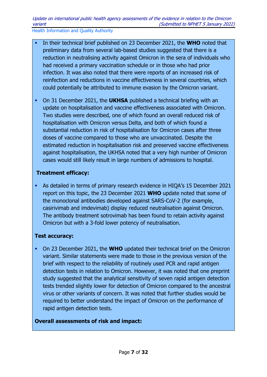- In their technical brief published on 23 December 2021, the **WHO** noted that preliminary data from several lab-based studies suggested that there is a reduction in neutralising activity against Omicron in the sera of individuals who had received a primary vaccination schedule or in those who had prior infection. It was also noted that there were reports of an increased risk of reinfection and reductions in vaccine effectiveness in several countries, which could potentially be attributed to immune evasion by the Omicron variant.
- On 31 December 2021, the **UKHSA** published a technical briefing with an update on hospitalisation and vaccine effectiveness associated with Omicron. Two studies were described, one of which found an overall reduced risk of hospitalisation with Omicron versus Delta, and both of which found a substantial reduction in risk of hospitalisation for Omicron cases after three doses of vaccine compared to those who are unvaccinated. Despite the estimated reduction in hospitalisation risk and preserved vaccine effectiveness against hospitalisation, the UKHSA noted that a very high number of Omicron cases would still likely result in large numbers of admissions to hospital.

### **Treatment efficacy:**

 As detailed in terms of primary research evidence in HIQA's 15 December 2021 report on this topic, the 23 December 2021 **WHO** update noted that some of the monoclonal antibodies developed against SARS-CoV-2 (for example, casirivimab and imdevimab) display reduced neutralisation against Omicron. The antibody treatment sotrovimab has been found to retain activity against Omicron but with a 3-fold lower potency of neutralisation.

### **Test accuracy:**

 On 23 December 2021, the **WHO** updated their technical brief on the Omicron variant. Similar statements were made to those in the previous version of the brief with respect to the reliability of routinely used PCR and rapid antigen detection tests in relation to Omicron. However, it was noted that one preprint study suggested that the analytical sensitivity of seven rapid antigen detection tests trended slightly lower for detection of Omicron compared to the ancestral virus or other variants of concern. It was noted that further studies would be required to better understand the impact of Omicron on the performance of rapid antigen detection tests.

### **Overall assessments of risk and impact:**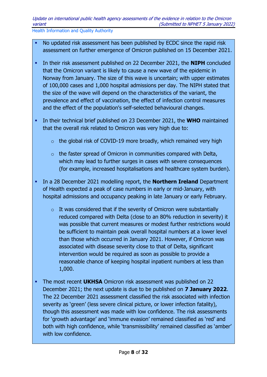- No updated risk assessment has been published by ECDC since the rapid risk assessment on further emergence of Omicron published on 15 December 2021.
- In their risk assessment published on 22 December 2021, the **NIPH** concluded that the Omicron variant is likely to cause a new wave of the epidemic in Norway from January. The size of this wave is uncertain; with upper estimates of 100,000 cases and 1,000 hospital admissions per day. The NIPH stated that the size of the wave will depend on the characteristics of the variant, the prevalence and effect of vaccination, the effect of infection control measures and the effect of the population's self-selected behavioural changes.
- In their technical brief published on 23 December 2021, the **WHO** maintained that the overall risk related to Omicron was very high due to:
	- $\circ$  the global risk of COVID-19 more broadly, which remained very high
	- $\circ$  the faster spread of Omicron in communities compared with Delta, which may lead to further surges in cases with severe consequences (for example, increased hospitalisations and healthcare system burden).
- In a 28 December 2021 modelling report, the **Northern Ireland** Department of Health expected a peak of case numbers in early or mid-January, with hospital admissions and occupancy peaking in late January or early February.
	- $\circ$  It was considered that if the severity of Omicron were substantially reduced compared with Delta (close to an 80% reduction in severity) it was possible that current measures or modest further restrictions would be sufficient to maintain peak overall hospital numbers at a lower level than those which occurred in January 2021. However, if Omicron was associated with disease severity close to that of Delta, significant intervention would be required as soon as possible to provide a reasonable chance of keeping hospital inpatient numbers at less than 1,000.
- The most recent **UKHSA** Omicron risk assessment was published on 22 December 2021; the next update is due to be published on **7 January 2022**. The 22 December 2021 assessment classified the risk associated with infection severity as 'green' (less severe clinical picture, or lower infection fatality), though this assessment was made with low confidence. The risk assessments for 'growth advantage' and 'immune evasion' remained classified as 'red' and both with high confidence, while 'transmissibility' remained classified as 'amber' with low confidence.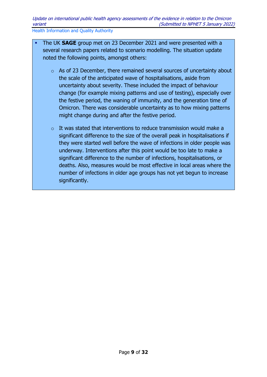- The UK **SAGE** group met on 23 December 2021 and were presented with a several research papers related to scenario modelling. The situation update noted the following points, amongst others:
	- o As of 23 December, there remained several sources of uncertainty about the scale of the anticipated wave of hospitalisations, aside from uncertainty about severity. These included the impact of behaviour change (for example mixing patterns and use of testing), especially over the festive period, the waning of immunity, and the generation time of Omicron. There was considerable uncertainty as to how mixing patterns might change during and after the festive period.
	- $\circ$  It was stated that interventions to reduce transmission would make a significant difference to the size of the overall peak in hospitalisations if they were started well before the wave of infections in older people was underway. Interventions after this point would be too late to make a significant difference to the number of infections, hospitalisations, or deaths. Also, measures would be most effective in local areas where the number of infections in older age groups has not yet begun to increase significantly.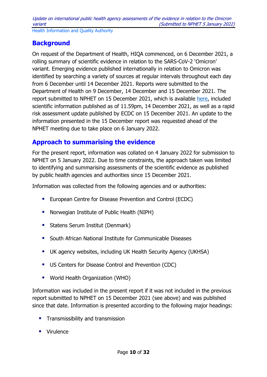## <span id="page-9-0"></span>**Background**

On request of the Department of Health, HIQA commenced, on 6 December 2021, a rolling summary of scientific evidence in relation to the SARS-CoV-2 'Omicron' variant. Emerging evidence published internationally in relation to Omicron was identified by searching a variety of sources at regular intervals throughout each day from 6 December until 14 December 2021. Reports were submitted to the Department of Health on 9 December, 14 December and 15 December 2021. The report submitted to NPHET on 15 December 2021, which is available [here,](https://www.hiqa.ie/reports-and-publications/health-technology-assessment/summaries-evidence-and-international-public) included scientific information published as of 11.59pm, 14 December 2021, as well as a rapid risk assessment update published by ECDC on 15 December 2021. An update to the information presented in the 15 December report was requested ahead of the NPHET meeting due to take place on 6 January 2022.

## <span id="page-9-1"></span>**Approach to summarising the evidence**

For the present report, information was collated on 4 January 2022 for submission to NPHET on 5 January 2022. Due to time constraints, the approach taken was limited to identifying and summarising assessments of the scientific evidence as published by public health agencies and authorities since 15 December 2021.

Information was collected from the following agencies and or authorities:

- **European Centre for Disease Prevention and Control (ECDC)**
- **Norwegian Institute of Public Health (NIPH)**
- **Statens Serum Institut (Denmark)**
- **E.** South African National Institute for Communicable Diseases
- UK agency websites, including UK Health Security Agency (UKHSA)
- **US Centers for Disease Control and Prevention (CDC)**
- **World Health Organization (WHO)**

Information was included in the present report if it was not included in the previous report submitted to NPHET on 15 December 2021 (see above) and was published since that date. Information is presented according to the following major headings:

- **Transmissibility and transmission**
- **Virulence**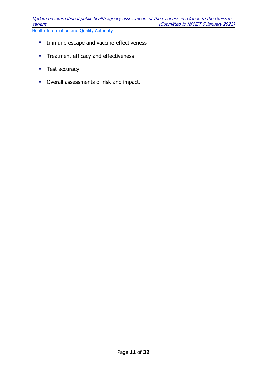- **IMMUNE** Immune escape and vaccine effectiveness
- **Treatment efficacy and effectiveness**
- Test accuracy
- **•** Overall assessments of risk and impact.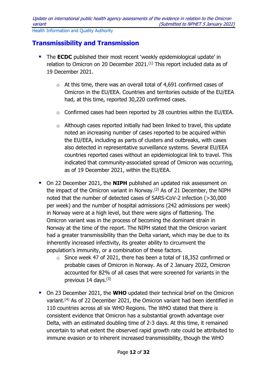## <span id="page-11-0"></span>**Transmissibility and Transmission**

- **The ECDC** published their most recent 'weekly epidemiological update' in relation to Omicron on 20 December 2021.<sup>(1)</sup> This report included data as of 19 December 2021.
	- o At this time, there was an overall total of 4,691 confirmed cases of Omicron in the EU/EEA. Countries and territories outside of the EU/EEA had, at this time, reported 30,220 confirmed cases.
	- o Confirmed cases had been reported by 28 countries within the EU/EEA.
	- o Although cases reported initially had been linked to travel, this update noted an increasing number of cases reported to be acquired within the EU/EEA, including as parts of clusters and outbreaks, with cases also detected in representative surveillance systems. Several EU/EEA countries reported cases without an epidemiological link to travel. This indicated that community-associated spread of Omicron was occurring, as of 19 December 2021, within the EU/EEA.
- **On 22 December 2021, the NIPH** published an updated risk assessment on the impact of the Omicron variant in Norway.<sup>(2)</sup> As of 21 December, the NIPH noted that the number of detected cases of SARS-CoV-2 infection (>30,000 per week) and the number of hospital admissions (242 admissions per week) in Norway were at a high level, but there were signs of flattening. The Omicron variant was in the process of becoming the dominant strain in Norway at the time of the report. The NIPH stated that the Omicron variant had a greater transmissibility than the Delta variant, which may be due to its inherently increased infectivity, its greater ability to circumvent the population's immunity, or a combination of these factors.
	- o Since week 47 of 2021, there has been a total of 18,352 confirmed or probable cases of Omicron in Norway. As of 2 January 2022, Omicron accounted for 82% of all cases that were screened for variants in the previous 14 days. $(3)$
- On 23 December 2021, the **WHO** updated their technical brief on the Omicron variant.<sup>(4)</sup> As of 22 December 2021, the Omicron variant had been identified in 110 countries across all six WHO Regions. The WHO stated that there is consistent evidence that Omicron has a substantial growth advantage over Delta, with an estimated doubling time of 2-3 days. At this time, it remained uncertain to what extent the observed rapid growth rate could be attributed to immune evasion or to inherent increased transmissibility, though the WHO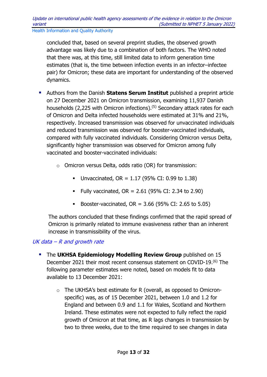concluded that, based on several preprint studies, the observed growth advantage was likely due to a combination of both factors. The WHO noted that there was, at this time, still limited data to inform generation time estimates (that is, the time between infection events in an infector–infectee pair) for Omicron; these data are important for understanding of the observed dynamics.

- Authors from the Danish **Statens Serum Institut** published a preprint article on 27 December 2021 on Omicron transmission, examining 11,937 Danish households (2,225 with Omicron infections).(5) Secondary attack rates for each of Omicron and Delta infected households were estimated at 31% and 21%, respectively. Increased transmission was observed for unvaccinated individuals and reduced transmission was observed for booster-vaccinated individuals, compared with fully vaccinated individuals. Considering Omicron versus Delta, significantly higher transmission was observed for Omicron among fully vaccinated and booster-vaccinated individuals:
	- o Omicron versus Delta, odds ratio (OR) for transmission:
		- Unvaccinated,  $OR = 1.17$  (95% CI: 0.99 to 1.38)
		- **Fully vaccinated, OR = 2.61 (95% CI: 2.34 to 2.90)**
		- Booster-vaccinated,  $OR = 3.66$  (95% CI: 2.65 to 5.05)

The authors concluded that these findings confirmed that the rapid spread of Omicron is primarily related to immune evasiveness rather than an inherent increase in transmissibility of the virus.

### <span id="page-12-0"></span>UK data  $-R$  and growth rate

- The **UKHSA Epidemiology Modelling Review Group** published on 15 December 2021 their most recent consensus statement on COVID-19.(6) The following parameter estimates were noted, based on models fit to data available to 13 December 2021:
	- $\circ$  The UKHSA's best estimate for R (overall, as opposed to Omicronspecific) was, as of 15 December 2021, between 1.0 and 1.2 for England and between 0.9 and 1.1 for Wales, Scotland and Northern Ireland. These estimates were not expected to fully reflect the rapid growth of Omicron at that time, as R lags changes in transmission by two to three weeks, due to the time required to see changes in data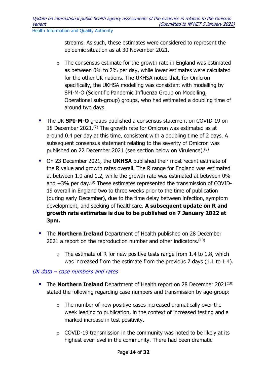streams. As such, these estimates were considered to represent the epidemic situation as at 30 November 2021.

- $\circ$  The consensus estimate for the growth rate in England was estimated as between 0% to 2% per day, while lower estimates were calculated for the other UK nations. The UKHSA noted that, for Omicron specifically, the UKHSA modelling was consistent with modelling by SPI-M-O (Scientific Pandemic Influenza Group on Modelling, Operational sub-group) groups, who had estimated a doubling time of around two days.
- The UK **SPI-M-O** groups published a consensus statement on COVID-19 on 18 December 2021.<sup>(7)</sup> The growth rate for Omicron was estimated as at around 0.4 per day at this time, consistent with a doubling time of 2 days. A subsequent consensus statement relating to the severity of Omicron was published on 22 December 2021 (see section below on Virulence).<sup>(8)</sup>
- On 23 December 2021, the **UKHSA** published their most recent estimate of the R value and growth rates overall. The R range for England was estimated at between 1.0 and 1.2, while the growth rate was estimated at between 0% and  $+3\%$  per day.<sup>(9)</sup> These estimates represented the transmission of COVID-19 overall in England two to three weeks prior to the time of publication (during early December), due to the time delay between infection, symptom development, and seeking of healthcare. **A subsequent update on R and growth rate estimates is due to be published on 7 January 2022 at 3pm.**
- **The Northern Ireland** Department of Health published on 28 December 2021 a report on the reproduction number and other indicators.<sup>(10)</sup>
	- $\circ$  The estimate of R for new positive tests range from 1.4 to 1.8, which was increased from the estimate from the previous 7 days (1.1 to 1.4).

### <span id="page-13-0"></span>UK data – case numbers and rates

- **The Northern Ireland** Department of Health report on 28 December 2021<sup>(10)</sup> stated the following regarding case numbers and transmission by age-group:
	- o The number of new positive cases increased dramatically over the week leading to publication, in the context of increased testing and a marked increase in test positivity.
	- $\circ$  COVID-19 transmission in the community was noted to be likely at its highest ever level in the community. There had been dramatic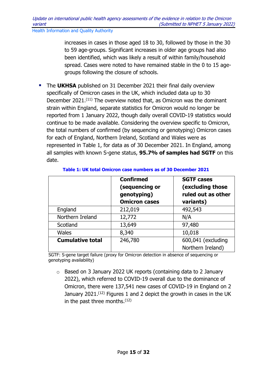increases in cases in those aged 18 to 30, followed by those in the 30 to 59 age-groups. Significant increases in older age groups had also been identified, which was likely a result of within family/household spread. Cases were noted to have remained stable in the 0 to 15 agegroups following the closure of schools.

**The UKHSA** published on 31 December 2021 their final daily overview specifically of Omicron cases in the UK, which included data up to 30 December 2021.(11) The overview noted that, as Omicron was the dominant strain within England, separate statistics for Omicron would no longer be reported from 1 January 2022, though daily overall COVID-19 statistics would continue to be made available. Considering the overview specific to Omicron, the total numbers of confirmed (by sequencing or genotyping) Omicron cases for each of England, Northern Ireland, Scotland and Wales were as represented in Table 1, for data as of 30 December 2021. In England, among all samples with known S-gene status, **95.7% of samples had SGTF** on this date.

|                         | <b>Confirmed</b><br>(sequencing or<br>genotyping)<br><b>Omicron cases</b> | <b>SGTF cases</b><br>(excluding those<br>ruled out as other<br>variants) |
|-------------------------|---------------------------------------------------------------------------|--------------------------------------------------------------------------|
| England                 | 212,019                                                                   | 492,543                                                                  |
| Northern Ireland        | 12,772                                                                    | N/A                                                                      |
| Scotland                | 13,649                                                                    | 97,480                                                                   |
| <b>Wales</b>            | 8,340                                                                     | 10,018                                                                   |
| <b>Cumulative total</b> | 246,780                                                                   | 600,041 (excluding<br>Northern Ireland)                                  |

#### **Table 1: UK total Omicron case numbers as of 30 December 2021**

SGTF: S-gene target failure (proxy for Omicron detection in absence of sequencing or genotyping availability)

o Based on 3 January 2022 UK reports (containing data to 2 January 2022), which referred to COVID-19 overall due to the dominance of Omicron, there were 137,541 new cases of COVID-19 in England on 2 January 2021.<sup>(12)</sup> Figures 1 and 2 depict the growth in cases in the UK in the past three months. $(12)$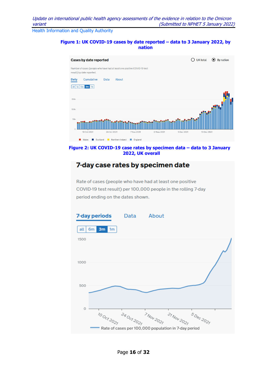#### **Figure 1: UK COVID-19 cases by date reported – data to 3 January 2022, by nation**



**Figure 2: UK COVID-19 case rates by specimen data – data to 3 January 2022, UK overall**

## 7-day case rates by specimen date

Rate of cases (people who have had at least one positive COVID-19 test result) per 100,000 people in the rolling 7-day period ending on the dates shown.

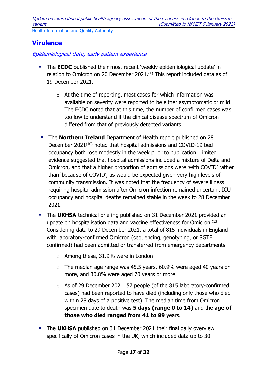## <span id="page-16-0"></span>**Virulence**

<span id="page-16-1"></span>Epidemiological data; early patient experience

- **The ECDC** published their most recent 'weekly epidemiological update' in relation to Omicron on 20 December 2021.<sup>(1)</sup> This report included data as of 19 December 2021.
	- o At the time of reporting, most cases for which information was available on severity were reported to be either asymptomatic or mild. The ECDC noted that at this time, the number of confirmed cases was too low to understand if the clinical disease spectrum of Omicron differed from that of previously detected variants.
- **The Northern Ireland** Department of Health report published on 28 December 2021<sup>(10)</sup> noted that hospital admissions and COVID-19 bed occupancy both rose modestly in the week prior to publication. Limited evidence suggested that hospital admissions included a mixture of Delta and Omicron, and that a higher proportion of admissions were 'with COVID' rather than 'because of COVID', as would be expected given very high levels of community transmission. It was noted that the frequency of severe illness requiring hospital admission after Omicron infection remained uncertain. ICU occupancy and hospital deaths remained stable in the week to 28 December 2021.
- The **UKHSA** technical briefing published on 31 December 2021 provided an update on hospitalisation data and vaccine effectiveness for Omicron.(13) Considering data to 29 December 2021, a total of 815 individuals in England with laboratory-confirmed Omicron (sequencing, genotyping, or SGTF confirmed) had been admitted or transferred from emergency departments.
	- o Among these, 31.9% were in London.
	- $\circ$  The median age range was 45.5 years, 60.9% were aged 40 years or more, and 30.8% were aged 70 years or more.
	- o As of 29 December 2021, 57 people (of the 815 laboratory-confirmed cases) had been reported to have died (including only those who died within 28 days of a positive test). The median time from Omicron specimen date to death was **5 days (range 0 to 14)** and the **age of those who died ranged from 41 to 99** years.
- **The UKHSA** published on 31 December 2021 their final daily overview specifically of Omicron cases in the UK, which included data up to 30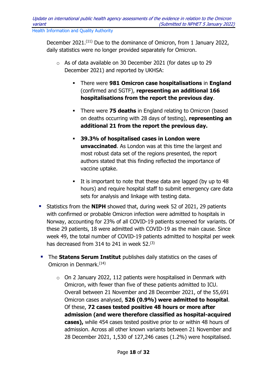December 2021.(11) Due to the dominance of Omicron, from 1 January 2022, daily statistics were no longer provided separately for Omicron.

- o As of data available on 30 December 2021 (for dates up to 29 December 2021) and reported by UKHSA:
	- There were **981 Omicron case hospitalisations** in **England** (confirmed and SGTF), **representing an additional 166 hospitalisations from the report the previous day**.
	- There were **75 deaths** in England relating to Omicron (based on deaths occurring with 28 days of testing), **representing an additional 21 from the report the previous day.**
	- **39.3% of hospitalised cases in London were unvaccinated**. As London was at this time the largest and most robust data set of the regions presented, the report authors stated that this finding reflected the importance of vaccine uptake.
	- It is important to note that these data are lagged (by up to 48 hours) and require hospital staff to submit emergency care data sets for analysis and linkage with testing data.
- **Statistics from the NIPH** showed that, during week 52 of 2021, 29 patients with confirmed or probable Omicron infection were admitted to hospitals in Norway, accounting for 23% of all COVID-19 patients screened for variants. Of these 29 patients, 18 were admitted with COVID-19 as the main cause. Since week 49, the total number of COVID-19 patients admitted to hospital per week has decreased from 314 to 241 in week 52.(3)
- **The Statens Serum Institut** publishes daily statistics on the cases of Omicron in Denmark.<sup>(14)</sup>
	- $\circ$  On 2 January 2022, 112 patients were hospitalised in Denmark with Omicron, with fewer than five of these patients admitted to ICU. Overall between 21 November and 28 December 2021, of the 55,691 Omicron cases analysed, **526 (0.9%) were admitted to hospital**. Of these, **72 cases tested positive 48 hours or more after admission (and were therefore classified as hospital-acquired cases),** while 454 cases tested positive prior to or within 48 hours of admission. Across all other known variants between 21 November and 28 December 2021, 1,530 of 127,246 cases (1.2%) were hospitalised.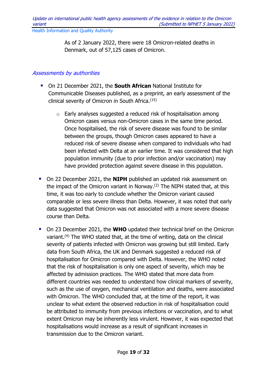As of 2 January 2022, there were 18 Omicron-related deaths in Denmark, out of 57,125 cases of Omicron.

#### <span id="page-18-0"></span>Assessments by authorities

- On 21 December 2021, the **South African** National Institute for Communicable Diseases published, as a preprint, an early assessment of the clinical severity of Omicron in South Africa.(15)
	- $\circ$  Early analyses suggested a reduced risk of hospitalisation among Omicron cases versus non-Omicron cases in the same time period. Once hospitalised, the risk of severe disease was found to be similar between the groups, though Omicron cases appeared to have a reduced risk of severe disease when compared to individuals who had been infected with Delta at an earlier time. It was considered that high population immunity (due to prior infection and/or vaccination) may have provided protection against severe disease in this population.
- **On 22 December 2021, the NIPH** published an updated risk assessment on the impact of the Omicron variant in Norway.<sup>(2)</sup> The NIPH stated that, at this time, it was too early to conclude whether the Omicron variant caused comparable or less severe illness than Delta. However, it was noted that early data suggested that Omicron was not associated with a more severe disease course than Delta.
- On 23 December 2021, the **WHO** updated their technical brief on the Omicron variant.<sup>(4)</sup> The WHO stated that, at the time of writing, data on the clinical severity of patients infected with Omicron was growing but still limited. Early data from South Africa, the UK and Denmark suggested a reduced risk of hospitalisation for Omicron compared with Delta. However, the WHO noted that the risk of hospitalisation is only one aspect of severity, which may be affected by admission practices. The WHO stated that more data from different countries was needed to understand how clinical markers of severity, such as the use of oxygen, mechanical ventilation and deaths, were associated with Omicron. The WHO concluded that, at the time of the report, it was unclear to what extent the observed reduction in risk of hospitalisation could be attributed to immunity from previous infections or vaccination, and to what extent Omicron may be inherently less virulent. However, it was expected that hospitalisations would increase as a result of significant increases in transmission due to the Omicron variant.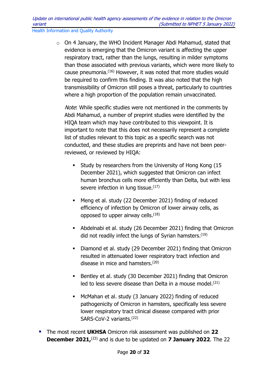o On 4 January, the WHO Incident Manager Abdi Mahamud, stated that evidence is emerging that the Omicron variant is affecting the upper respiratory tract, rather than the lungs, resulting in milder symptoms than those associated with previous variants, which were more likely to cause pneumonia. (16) However, it was noted that more studies would be required to confirm this finding. It was also noted that the high transmissibility of Omicron still poses a threat, particularly to countries where a high proportion of the population remain unvaccinated.

Note: While specific studies were not mentioned in the comments by Abdi Mahamud, a number of preprint studies were identified by the HIQA team which may have contributed to this viewpoint. It is important to note that this does not necessarily represent a complete list of studies relevant to this topic as a specific search was not conducted, and these studies are preprints and have not been peerreviewed, or reviewed by HIQA:

- Study by researchers from the University of Hong Kong (15 December 2021), which suggested that Omicron can infect human bronchus cells more efficiently than Delta, but with less severe infection in lung tissue.<sup>(17)</sup>
- Meng et al. study (22 December 2021) finding of reduced efficiency of infection by Omicron of lower airway cells, as opposed to upper airway cells.(18)
- Abdelnabi et al. study (26 December 2021) finding that Omicron did not readily infect the lungs of Syrian hamsters.(19)
- Diamond et al. study (29 December 2021) finding that Omicron resulted in attenuated lower respiratory tract infection and disease in mice and hamsters.(20)
- Bentley et al. study (30 December 2021) finding that Omicron led to less severe disease than Delta in a mouse model.(21)
- McMahan et al. study (3 January 2022) finding of reduced pathogenicity of Omicron in hamsters, specifically less severe lower respiratory tract clinical disease compared with prior SARS-CoV-2 variants.<sup>(22)</sup>
- The most recent **UKHSA** Omicron risk assessment was published on **22 December 2021,**<sup>(23)</sup> and is due to be updated on **7 January 2022**. The 22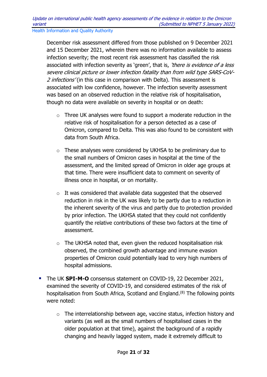December risk assessment differed from those published on 9 December 2021 and 15 December 2021, wherein there was no information available to assess infection severity; the most recent risk assessment has classified the risk associated with infection severity as 'green', that is, 'there is evidence of a less severe clinical picture or lower infection fatality than from wild type SARS-CoV-2 *infections'* (in this case in comparison with Delta). This assessment is associated with low confidence, however. The infection severity assessment was based on an observed reduction in the relative risk of hospitalisation, though no data were available on severity in hospital or on death:

- o Three UK analyses were found to support a moderate reduction in the relative risk of hospitalisation for a person detected as a case of Omicron, compared to Delta. This was also found to be consistent with data from South Africa.
- o These analyses were considered by UKHSA to be preliminary due to the small numbers of Omicron cases in hospital at the time of the assessment, and the limited spread of Omicron in older age groups at that time. There were insufficient data to comment on severity of illness once in hospital, or on mortality.
- o It was considered that available data suggested that the observed reduction in risk in the UK was likely to be partly due to a reduction in the inherent severity of the virus and partly due to protection provided by prior infection. The UKHSA stated that they could not confidently quantify the relative contributions of these two factors at the time of assessment.
- o The UKHSA noted that, even given the reduced hospitalisation risk observed, the combined growth advantage and immune evasion properties of Omicron could potentially lead to very high numbers of hospital admissions.
- The UK **SPI-M-O** consensus statement on COVID-19, 22 December 2021, examined the severity of COVID-19, and considered estimates of the risk of hospitalisation from South Africa, Scotland and England.(8) The following points were noted:
	- o The interrelationship between age, vaccine status, infection history and variants (as well as the small numbers of hospitalised cases in the older population at that time), against the background of a rapidly changing and heavily lagged system, made it extremely difficult to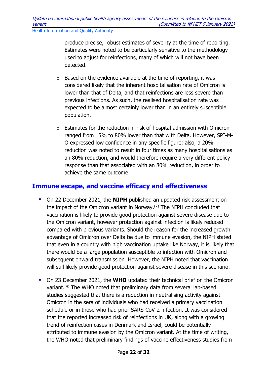produce precise, robust estimates of severity at the time of reporting. Estimates were noted to be particularly sensitive to the methodology used to adjust for reinfections, many of which will not have been detected.

- $\circ$  Based on the evidence available at the time of reporting, it was considered likely that the inherent hospitalisation rate of Omicron is lower than that of Delta, and that reinfections are less severe than previous infections. As such, the realised hospitalisation rate was expected to be almost certainly lower than in an entirely susceptible population.
- o Estimates for the reduction in risk of hospital admission with Omicron ranged from 15% to 80% lower than that with Delta. However, SPI-M-O expressed low confidence in any specific figure; also, a 20% reduction was noted to result in four times as many hospitalisations as an 80% reduction, and would therefore require a very different policy response than that associated with an 80% reduction, in order to achieve the same outcome.

### <span id="page-21-0"></span>**Immune escape, and vaccine efficacy and effectiveness**

- On 22 December 2021, the **NIPH** published an updated risk assessment on the impact of the Omicron variant in Norway.(2) The NIPH concluded that vaccination is likely to provide good protection against severe disease due to the Omicron variant, however protection against infection is likely reduced compared with previous variants. Should the reason for the increased growth advantage of Omicron over Delta be due to immune evasion, the NIPH stated that even in a country with high vaccination uptake like Norway, it is likely that there would be a large population susceptible to infection with Omicron and subsequent onward transmission. However, the NIPH noted that vaccination will still likely provide good protection against severe disease in this scenario.
- On 23 December 2021, the **WHO** updated their technical brief on the Omicron variant.(4) The WHO noted that preliminary data from several lab-based studies suggested that there is a reduction in neutralising activity against Omicron in the sera of individuals who had received a primary vaccination schedule or in those who had prior SARS-CoV-2 infection. It was considered that the reported increased risk of reinfections in UK, along with a growing trend of reinfection cases in Denmark and Israel, could be potentially attributed to immune evasion by the Omicron variant. At the time of writing, the WHO noted that preliminary findings of vaccine effectiveness studies from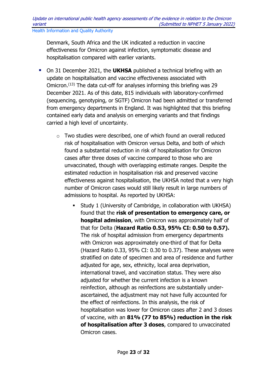Denmark, South Africa and the UK indicated a reduction in vaccine effectiveness for Omicron against infection, symptomatic disease and hospitalisation compared with earlier variants.

- **•** On 31 December 2021, the **UKHSA** published a technical briefing with an update on hospitalisation and vaccine effectiveness associated with Omicron.(13) The data cut-off for analyses informing this briefing was 29 December 2021. As of this date, 815 individuals with laboratory-confirmed (sequencing, genotyping, or SGTF) Omicron had been admitted or transferred from emergency departments in England. It was highlighted that this briefing contained early data and analysis on emerging variants and that findings carried a high level of uncertainty.
	- o Two studies were described, one of which found an overall reduced risk of hospitalisation with Omicron versus Delta, and both of which found a substantial reduction in risk of hospitalisation for Omicron cases after three doses of vaccine compared to those who are unvaccinated, though with overlapping estimate ranges. Despite the estimated reduction in hospitalisation risk and preserved vaccine effectiveness against hospitalisation, the UKHSA noted that a very high number of Omicron cases would still likely result in large numbers of admissions to hospital. As reported by UKHSA:
		- Study 1 (University of Cambridge, in collaboration with UKHSA) found that the **risk of presentation to emergency care, or hospital admission**, with Omicron was approximately half of that for Delta (**Hazard Ratio 0.53, 95% CI: 0.50 to 0.57).** The risk of hospital admission from emergency departments with Omicron was approximately one-third of that for Delta (Hazard Ratio 0.33, 95% CI: 0.30 to 0.37). These analyses were stratified on date of specimen and area of residence and further adjusted for age, sex, ethnicity, local area deprivation, international travel, and vaccination status. They were also adjusted for whether the current infection is a known reinfection, although as reinfections are substantially underascertained, the adjustment may not have fully accounted for the effect of reinfections. In this analysis, the risk of hospitalisation was lower for Omicron cases after 2 and 3 doses of vaccine, with an **81% (77 to 85%) reduction in the risk of hospitalisation after 3 doses**, compared to unvaccinated Omicron cases.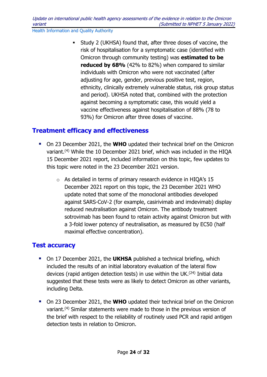Study 2 (UKHSA) found that, after three doses of vaccine, the risk of hospitalisation for a symptomatic case (identified with Omicron through community testing) was **estimated to be reduced by 68%** (42% to 82%) when compared to similar individuals with Omicron who were not vaccinated (after adjusting for age, gender, previous positive test, region, ethnicity, clinically extremely vulnerable status, risk group status and period). UKHSA noted that, combined with the protection against becoming a symptomatic case, this would yield a vaccine effectiveness against hospitalisation of 88% (78 to 93%) for Omicron after three doses of vaccine.

## <span id="page-23-0"></span>**Treatment efficacy and effectiveness**

- On 23 December 2021, the **WHO** updated their technical brief on the Omicron variant.<sup>(4)</sup> While the 10 December 2021 brief, which was included in the HIQA 15 December 2021 report, included information on this topic, few updates to this topic were noted in the 23 December 2021 version.
	- o As detailed in terms of primary research evidence in HIQA's 15 December 2021 report on this topic, the 23 December 2021 WHO update noted that some of the monoclonal antibodies developed against SARS-CoV-2 (for example, casirivimab and imdevimab) display reduced neutralisation against Omicron. The antibody treatment sotrovimab has been found to retain activity against Omicron but with a 3-fold lower potency of neutralisation, as measured by EC50 (half maximal effective concentration).

## <span id="page-23-1"></span>**Test accuracy**

- On 17 December 2021, the **UKHSA** published a technical briefing, which included the results of an initial laboratory evaluation of the lateral flow devices (rapid antigen detection tests) in use within the UK.(24) Initial data suggested that these tests were as likely to detect Omicron as other variants, including Delta.
- On 23 December 2021, the **WHO** updated their technical brief on the Omicron variant.(4) Similar statements were made to those in the previous version of the brief with respect to the reliability of routinely used PCR and rapid antigen detection tests in relation to Omicron.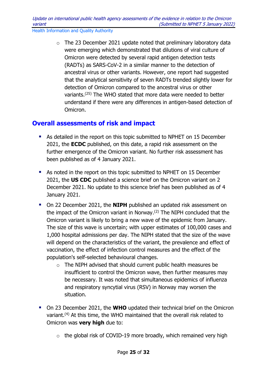$\circ$  The 23 December 2021 update noted that preliminary laboratory data were emerging which demonstrated that dilutions of viral culture of Omicron were detected by several rapid antigen detection tests (RADTs) as SARS-CoV-2 in a similar manner to the detection of ancestral virus or other variants. However, one report had suggested that the analytical sensitivity of seven RADTs trended slightly lower for detection of Omicron compared to the ancestral virus or other variants.(25) The WHO stated that more data were needed to better understand if there were any differences in antigen-based detection of Omicron.

## <span id="page-24-0"></span>**Overall assessments of risk and impact**

- As detailed in the report on this topic submitted to NPHET on 15 December 2021, the **ECDC** published, on this date, a rapid risk assessment on the further emergence of the Omicron variant. No further risk assessment has been published as of 4 January 2021.
- As noted in the report on this topic submitted to NPHET on 15 December 2021, the **US CDC** published a science brief on the Omicron variant on 2 December 2021. No update to this science brief has been published as of 4 January 2021.
- **On 22 December 2021, the NIPH** published an updated risk assessment on the impact of the Omicron variant in Norway.(2) The NIPH concluded that the Omicron variant is likely to bring a new wave of the epidemic from January. The size of this wave is uncertain; with upper estimates of 100,000 cases and 1,000 hospital admissions per day. The NIPH stated that the size of the wave will depend on the characteristics of the variant, the prevalence and effect of vaccination, the effect of infection control measures and the effect of the population's self-selected behavioural changes.
	- $\circ$  The NIPH advised that should current public health measures be insufficient to control the Omicron wave, then further measures may be necessary. It was noted that simultaneous epidemics of influenza and respiratory syncytial virus (RSV) in Norway may worsen the situation.
- On 23 December 2021, the **WHO** updated their technical brief on the Omicron variant.<sup>(4)</sup> At this time, the WHO maintained that the overall risk related to Omicron was **very high** due to:
	- $\circ$  the global risk of COVID-19 more broadly, which remained very high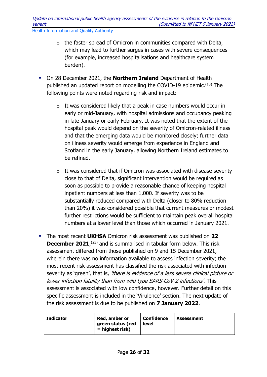- o the faster spread of Omicron in communities compared with Delta, which may lead to further surges in cases with severe consequences (for example, increased hospitalisations and healthcare system burden).
- On 28 December 2021, the **Northern Ireland** Department of Health published an updated report on modelling the COVID-19 epidemic.(10) The following points were noted regarding risk and impact:
	- $\circ$  It was considered likely that a peak in case numbers would occur in early or mid-January, with hospital admissions and occupancy peaking in late January or early February. It was noted that the extent of the hospital peak would depend on the severity of Omicron-related illness and that the emerging data would be monitored closely; further data on illness severity would emerge from experience in England and Scotland in the early January, allowing Northern Ireland estimates to be refined.
	- $\circ$  It was considered that if Omicron was associated with disease severity close to that of Delta, significant intervention would be required as soon as possible to provide a reasonable chance of keeping hospital inpatient numbers at less than 1,000. If severity was to be substantially reduced compared with Delta (closer to 80% reduction than 20%) it was considered possible that current measures or modest further restrictions would be sufficient to maintain peak overall hospital numbers at a lower level than those which occurred in January 2021.
- The most recent **UKHSA** Omicron risk assessment was published on **22 December 2021**,<sup>(23)</sup> and is summarised in tabular form below. This risk assessment differed from those published on 9 and 15 December 2021, wherein there was no information available to assess infection severity; the most recent risk assessment has classified the risk associated with infection severity as 'green', that is, 'there is evidence of a less severe clinical picture or lower infection fatality than from wild type SARS-CoV-2 infections'. This assessment is associated with low confidence, however. Further detail on this specific assessment is included in the 'Virulence' section. The next update of the risk assessment is due to be published on **7 January 2022**.

| <b>Indicator</b> | Red, amber or<br>green status (red<br>= highest risk) | <b>Confidence</b><br>level | Assessment |
|------------------|-------------------------------------------------------|----------------------------|------------|
|------------------|-------------------------------------------------------|----------------------------|------------|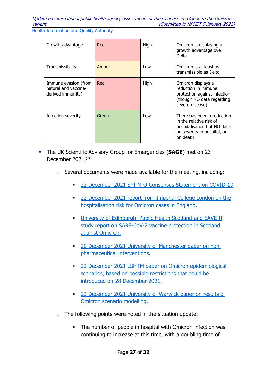| Growth advantage                                                  | Red   | High | Omicron is displaying a<br>growth advantage over<br>Delta                                                                       |
|-------------------------------------------------------------------|-------|------|---------------------------------------------------------------------------------------------------------------------------------|
| Transmissibility                                                  | Amber | Low  | Omicron is at least as<br>transmissible as Delta                                                                                |
| Immune evasion (from<br>natural and vaccine-<br>derived immunity) | Red   | High | Omicron displays a<br>reduction in immune<br>protection against infection<br>(though NO data regarding<br>severe disease)       |
| Infection severity                                                | Green | Low  | There has been a reduction<br>in the relative risk of<br>hospitalisation but NO data<br>on severity in hospital, or<br>on death |

- The UK Scientific Advisory Group for Emergencies (**SAGE**) met on 23 December 2021. (26)
	- o Several documents were made available for the meeting, including:
		- 22 December 2021 [SPI-M-O Consensus Statement on COVID-19](https://www.gov.uk/government/publications/spi-m-o-consensus-statement-on-covid-19-22-december-2021)
		- 22 December 2021 report from Imperial College London on the [hospitalisation risk for Omicron cases in England.](https://www.gov.uk/government/publications/imperial-college-london-report-50-hospitalisation-risk-for-omicron-cases-in-england-22-december-2021)
		- **University of Edinburgh, Public Health Scotland and EAVE II** [study report on SARS-CoV-2 vaccine protection in Scotland](https://www.gov.uk/government/publications/university-of-edinburgh-phs-and-eave-ii-sars-cov-2-vaccine-protection-in-scotland-omicron-22-december-2021)  [against Omicron.](https://www.gov.uk/government/publications/university-of-edinburgh-phs-and-eave-ii-sars-cov-2-vaccine-protection-in-scotland-omicron-22-december-2021)
		- <sup>20</sup> December 2021 [University of Manchester paper on non](https://www.gov.uk/government/publications/university-of-manchester-age-based-npis-simple-model-insight-19-december-2021)[pharmaceutical interventions.](https://www.gov.uk/government/publications/university-of-manchester-age-based-npis-simple-model-insight-19-december-2021)
		- [22 December 2021 LSHTM paper on Omicron epidemiological](hhttps://www.gov.uk/government/publications/lshtm-omicron-scenarios-28-december-restrictions-22-december-2021)  [scenarios, based on possible restrictions that could be](hhttps://www.gov.uk/government/publications/lshtm-omicron-scenarios-28-december-restrictions-22-december-2021)  [introduced on 28 December 2021.](hhttps://www.gov.uk/government/publications/lshtm-omicron-scenarios-28-december-restrictions-22-december-2021)
		- **22 December 2021 University of Warwick paper on results of** [Omicron scenario modelling.](https://www.gov.uk/government/publications/university-of-warwick-omicron-modelling-22-december-2021)
	- $\circ$  The following points were noted in the situation update:
		- The number of people in hospital with Omicron infection was continuing to increase at this time, with a doubling time of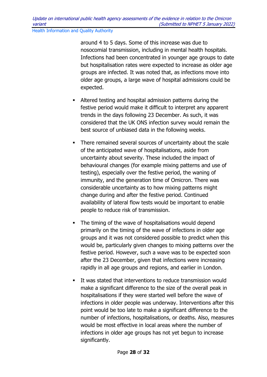around 4 to 5 days. Some of this increase was due to nosocomial transmission, including in mental health hospitals. Infections had been concentrated in younger age groups to date but hospitalisation rates were expected to increase as older age groups are infected. It was noted that, as infections move into older age groups, a large wave of hospital admissions could be expected.

- Altered testing and hospital admission patterns during the festive period would make it difficult to interpret any apparent trends in the days following 23 December. As such, it was considered that the UK ONS infection survey would remain the best source of unbiased data in the following weeks.
- There remained several sources of uncertainty about the scale of the anticipated wave of hospitalisations, aside from uncertainty about severity. These included the impact of behavioural changes (for example mixing patterns and use of testing), especially over the festive period, the waning of immunity, and the generation time of Omicron. There was considerable uncertainty as to how mixing patterns might change during and after the festive period. Continued availability of lateral flow tests would be important to enable people to reduce risk of transmission.
- The timing of the wave of hospitalisations would depend primarily on the timing of the wave of infections in older age groups and it was not considered possible to predict when this would be, particularly given changes to mixing patterns over the festive period. However, such a wave was to be expected soon after the 23 December, given that infections were increasing rapidly in all age groups and regions, and earlier in London.
- It was stated that interventions to reduce transmission would make a significant difference to the size of the overall peak in hospitalisations if they were started well before the wave of infections in older people was underway. Interventions after this point would be too late to make a significant difference to the number of infections, hospitalisations, or deaths. Also, measures would be most effective in local areas where the number of infections in older age groups has not yet begun to increase significantly.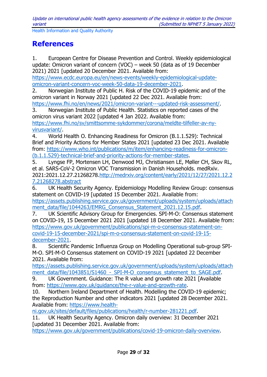## <span id="page-28-0"></span>**References**

1. European Centre for Disease Prevention and Control. Weekly epidemiological update: Omicron variant of concern (VOC) – week 50 (data as of 19 December 2021) 2021 [updated 20 December 2021. Available from:

[https://www.ecdc.europa.eu/en/news-events/weekly-epidemiological-update](https://www.ecdc.europa.eu/en/news-events/weekly-epidemiological-update-omicron-variant-concern-voc-week-50-data-19-december-2021)[omicron-variant-concern-voc-week-50-data-19-december-2021.](https://www.ecdc.europa.eu/en/news-events/weekly-epidemiological-update-omicron-variant-concern-voc-week-50-data-19-december-2021)

2. Norwegian Institute of Public H. Risk of the COVID-19 epidemic and of the omicron variant in Norway 2021 [updated 22 Dec 2021. Available from: [https://www.fhi.no/en/news/2021/omicron-variant---updated-risk-assessment/.](https://www.fhi.no/en/news/2021/omicron-variant---updated-risk-assessment/)

3. Norwegian Institute of Public Health. Statistics on reported cases of the omicron virus variant 2022 [updated 4 Jan 2022. Available from: [https://www.fhi.no/sv/smittsomme-sykdommer/corona/meldte-tilfeller-av-ny-](https://www.fhi.no/sv/smittsomme-sykdommer/corona/meldte-tilfeller-av-ny-virusvariant/)

[virusvariant/.](https://www.fhi.no/sv/smittsomme-sykdommer/corona/meldte-tilfeller-av-ny-virusvariant/)

4. World Health O. Enhancing Readiness for Omicron (B.1.1.529): Technical Brief and Priority Actions for Member States 2021 [updated 23 Dec 2021. Available from: [https://www.who.int/publications/m/item/enhancing-readiness-for-omicron-](https://www.who.int/publications/m/item/enhancing-readiness-for-omicron-(b.1.1.529)-technical-brief-and-priority-actions-for-member-states) [\(b.1.1.529\)-technical-brief-and-priority-actions-for-member-states.](https://www.who.int/publications/m/item/enhancing-readiness-for-omicron-(b.1.1.529)-technical-brief-and-priority-actions-for-member-states)

5. Lyngse FP, Mortensen LH, Denwood MJ, Christiansen LE, Møller CH, Skov RL, et al. SARS-CoV-2 Omicron VOC Transmission in Danish Households. medRxiv. 2021:2021.12.27.21268278[.http://medrxiv.org/content/early/2021/12/27/2021.12.2](http://medrxiv.org/content/early/2021/12/27/2021.12.27.21268278.abstract) [7.21268278.abstract](http://medrxiv.org/content/early/2021/12/27/2021.12.27.21268278.abstract)

6. UK Health Security Agency. Epidemiology Modelling Review Group: consensus statement on COVID-19 [updated 15 December 2021. Available from:

[https://assets.publishing.service.gov.uk/government/uploads/system/uploads/attach](https://assets.publishing.service.gov.uk/government/uploads/system/uploads/attachment_data/file/1044263/EMRG_Consensus_Statement_2021.12.15.pdf) [ment\\_data/file/1044263/EMRG\\_Consensus\\_Statement\\_2021.12.15.pdf.](https://assets.publishing.service.gov.uk/government/uploads/system/uploads/attachment_data/file/1044263/EMRG_Consensus_Statement_2021.12.15.pdf)

7. UK Scientific Advisory Group for Emergencies. SPI-M-O: Consensus statement on COVID-19, 15 December 2021 2021 [updated 18 December 2021. Available from: [https://www.gov.uk/government/publications/spi-m-o-consensus-statement-on](https://www.gov.uk/government/publications/spi-m-o-consensus-statement-on-covid-19-15-december-2021/spi-m-o-consensus-statement-on-covid-19-15-december-2021)[covid-19-15-december-2021/spi-m-o-consensus-statement-on-covid-19-15](https://www.gov.uk/government/publications/spi-m-o-consensus-statement-on-covid-19-15-december-2021/spi-m-o-consensus-statement-on-covid-19-15-december-2021) [december-2021.](https://www.gov.uk/government/publications/spi-m-o-consensus-statement-on-covid-19-15-december-2021/spi-m-o-consensus-statement-on-covid-19-15-december-2021)

8. Scientific Pandemic Influenza Group on Modelling Operational sub-group SPI-M-O. SPI-M-O Consensus statement on COVID-19 2021 [updated 22 December 2021. Available from:

[https://assets.publishing.service.gov.uk/government/uploads/system/uploads/attach](https://assets.publishing.service.gov.uk/government/uploads/system/uploads/attachment_data/file/1043851/S1460_-_SPI-M-O_consensus_statement_to_SAGE.pdf) ment\_data/file/1043851/S1460 - SPI-M-O\_consensus\_statement\_to\_SAGE.pdf.

9. UK Government. Guidance: The R value and growth rate 2021 [Available from: [https://www.gov.uk/guidance/the-r-value-and-growth-rate.](https://www.gov.uk/guidance/the-r-value-and-growth-rate)

10. Northern Ireland Department of Health. Modelling the COVID-19 epidemic; the Reproduction Number and other indicators 2021 [updated 28 December 2021. Available from: [https://www.health-](https://www.health-ni.gov.uk/sites/default/files/publications/health/r-number-281221.pdf)

[ni.gov.uk/sites/default/files/publications/health/r-number-281221.pdf.](https://www.health-ni.gov.uk/sites/default/files/publications/health/r-number-281221.pdf)

11. UK Health Security Agency. Omicron daily overview: 31 December 2021 [updated 31 December 2021. Available from:

[https://www.gov.uk/government/publications/covid-19-omicron-daily-overview.](https://www.gov.uk/government/publications/covid-19-omicron-daily-overview)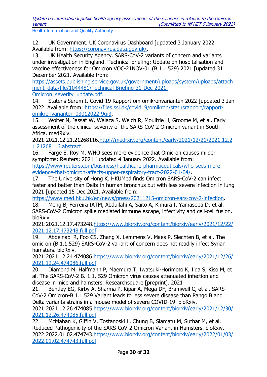Update on international public health agency assessments of the evidence in relation to the Omicron variant (Submitted to NPHET 5 January 2022)

Health Information and Quality Authority

12. UK Government. UK Coronavirus Dashboard [updated 3 January 2022. Available from: [https://coronavirus.data.gov.uk/.](https://coronavirus.data.gov.uk/)

13. UK Health Security Agency. SARS-CoV-2 variants of concern and variants under investigation in England. Technical briefing: Update on hospitalisation and vaccine effectiveness for Omicron VOC-21NOV-01 (B.1.1.529) 2021 [updated 31 December 2021. Available from:

[https://assets.publishing.service.gov.uk/government/uploads/system/uploads/attach](https://assets.publishing.service.gov.uk/government/uploads/system/uploads/attachment_data/file/1044481/Technical-Briefing-31-Dec-2021-Omicron_severity_update.pdf) [ment\\_data/file/1044481/Technical-Briefing-31-Dec-2021-](https://assets.publishing.service.gov.uk/government/uploads/system/uploads/attachment_data/file/1044481/Technical-Briefing-31-Dec-2021-Omicron_severity_update.pdf)

Omicron severity update.pdf.

14. Statens Serum I. Covid-19 Rapport om omikronvarianten 2022 [updated 3 Jan 2022. Available from: [https://files.ssi.dk/covid19/omikron/statusrapport/rapport](https://files.ssi.dk/covid19/omikron/statusrapport/rapport-omikronvarianten-03012022-9gj3)[omikronvarianten-03012022-9gj3.](https://files.ssi.dk/covid19/omikron/statusrapport/rapport-omikronvarianten-03012022-9gj3)

15. Wolter N, Jassat W, Walaza S, Welch R, Moultrie H, Groome M, et al. Early assessment of the clinical severity of the SARS-CoV-2 Omicron variant in South Africa. medRxiv.

2021:2021.12.21.21268116[.http://medrxiv.org/content/early/2021/12/21/2021.12.2](http://medrxiv.org/content/early/2021/12/21/2021.12.21.21268116.abstract) [1.21268116.abstract](http://medrxiv.org/content/early/2021/12/21/2021.12.21.21268116.abstract)

16. Farge E, Roy M. WHO sees more evidence that Omicron causes milder symptoms: Reuters: 2021 [updated 4 January 2022. Available from:

[https://www.reuters.com/business/healthcare-pharmaceuticals/who-sees-more](https://www.reuters.com/business/healthcare-pharmaceuticals/who-sees-more-evidence-that-omicron-affects-upper-respiratory-tract-2022-01-04/)[evidence-that-omicron-affects-upper-respiratory-tract-2022-01-04/.](https://www.reuters.com/business/healthcare-pharmaceuticals/who-sees-more-evidence-that-omicron-affects-upper-respiratory-tract-2022-01-04/)

17. The University of Hong K. HKUMed finds Omicron SARS-CoV-2 can infect faster and better than Delta in human bronchus but with less severe infection in lung 2021 [updated 15 Dec 2021. Available from:

[https://www.med.hku.hk/en/news/press/20211215-omicron-sars-cov-2-infection.](https://www.med.hku.hk/en/news/press/20211215-omicron-sars-cov-2-infection)

18. Meng B, Ferreira IATM, Abdullahi A, Saito A, Kimura I, Yamasoba D, et al. SARS-CoV-2 Omicron spike mediated immune escape, infectivity and cell-cell fusion. bioRxiv.

2021:2021.12.17.473248[.https://www.biorxiv.org/content/biorxiv/early/2021/12/22/](https://www.biorxiv.org/content/biorxiv/early/2021/12/22/2021.12.17.473248.full.pdf) [2021.12.17.473248.full.pdf](https://www.biorxiv.org/content/biorxiv/early/2021/12/22/2021.12.17.473248.full.pdf)

19. Abdelnabi R, Foo CS, Zhang X, Lemmens V, Maes P, Slechten B, et al. The omicron (B.1.1.529) SARS-CoV-2 variant of concern does not readily infect Syrian hamsters. bioRxiv.

2021:2021.12.24.474086[.https://www.biorxiv.org/content/biorxiv/early/2021/12/26/](https://www.biorxiv.org/content/biorxiv/early/2021/12/26/2021.12.24.474086.full.pdf) [2021.12.24.474086.full.pdf](https://www.biorxiv.org/content/biorxiv/early/2021/12/26/2021.12.24.474086.full.pdf)

20. Diamond M, Halfmann P, Maemura T, Iwatsuki-Horimoto K, Iida S, Kiso M, et al. The SARS-CoV-2 B. 1.1. 529 Omicron virus causes attenuated infection and disease in mice and hamsters. Researchsquare [preprint]. 2021

21. Bentley EG, Kirby A, Sharma P, Kipar A, Mega DF, Bramwell C, et al. SARS-CoV-2 Omicron-B.1.1.529 Variant leads to less severe disease than Pango B and Delta variants strains in a mouse model of severe COVID-19. bioRxiv.

2021:2021.12.26.474085[.https://www.biorxiv.org/content/biorxiv/early/2021/12/30/](https://www.biorxiv.org/content/biorxiv/early/2021/12/30/2021.12.26.474085.full.pdf) [2021.12.26.474085.full.pdf](https://www.biorxiv.org/content/biorxiv/early/2021/12/30/2021.12.26.474085.full.pdf)

22. McMahan K, Giffin V, Tostanoski L, Chung B, Siamatu M, Suthar M, et al. Reduced Pathogenicity of the SARS-CoV-2 Omicron Variant in Hamsters. bioRxiv. 2022:2022.01.02.474743[.https://www.biorxiv.org/content/biorxiv/early/2022/01/03/](https://www.biorxiv.org/content/biorxiv/early/2022/01/03/2022.01.02.474743.full.pdf) [2022.01.02.474743.full.pdf](https://www.biorxiv.org/content/biorxiv/early/2022/01/03/2022.01.02.474743.full.pdf)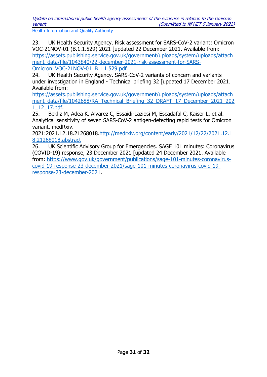Update on international public health agency assessments of the evidence in relation to the Omicron variant (Submitted to NPHET 5 January 2022)

Health Information and Quality Authority

23. UK Health Security Agency. Risk assessment for SARS-CoV-2 variant: Omicron VOC-21NOV-01 (B.1.1.529) 2021 [updated 22 December 2021. Available from: [https://assets.publishing.service.gov.uk/government/uploads/system/uploads/attach](https://assets.publishing.service.gov.uk/government/uploads/system/uploads/attachment_data/file/1043840/22-december-2021-risk-assessment-for-SARS-Omicron_VOC-21NOV-01_B.1.1.529.pdf) [ment\\_data/file/1043840/22-december-2021-risk-assessment-for-SARS-](https://assets.publishing.service.gov.uk/government/uploads/system/uploads/attachment_data/file/1043840/22-december-2021-risk-assessment-for-SARS-Omicron_VOC-21NOV-01_B.1.1.529.pdf)

[Omicron\\_VOC-21NOV-01\\_B.1.1.529.pdf.](https://assets.publishing.service.gov.uk/government/uploads/system/uploads/attachment_data/file/1043840/22-december-2021-risk-assessment-for-SARS-Omicron_VOC-21NOV-01_B.1.1.529.pdf)

24. UK Health Security Agency. SARS-CoV-2 variants of concern and variants under investigation in England - Technical briefing 32 [updated 17 December 2021. Available from:

[https://assets.publishing.service.gov.uk/government/uploads/system/uploads/attach](https://assets.publishing.service.gov.uk/government/uploads/system/uploads/attachment_data/file/1042688/RA_Technical_Briefing_32_DRAFT_17_December_2021_2021_12_17.pdf) [ment\\_data/file/1042688/RA\\_Technical\\_Briefing\\_32\\_DRAFT\\_17\\_December\\_2021\\_202](https://assets.publishing.service.gov.uk/government/uploads/system/uploads/attachment_data/file/1042688/RA_Technical_Briefing_32_DRAFT_17_December_2021_2021_12_17.pdf) [1\\_12\\_17.pdf.](https://assets.publishing.service.gov.uk/government/uploads/system/uploads/attachment_data/file/1042688/RA_Technical_Briefing_32_DRAFT_17_December_2021_2021_12_17.pdf)

25. Bekliz M, Adea K, Alvarez C, Essaidi-Laziosi M, Escadafal C, Kaiser L, et al. Analytical sensitivity of seven SARS-CoV-2 antigen-detecting rapid tests for Omicron variant. medRxiv.

2021:2021.12.18.21268018[.http://medrxiv.org/content/early/2021/12/22/2021.12.1](http://medrxiv.org/content/early/2021/12/22/2021.12.18.21268018.abstract) [8.21268018.abstract](http://medrxiv.org/content/early/2021/12/22/2021.12.18.21268018.abstract)

26. UK Scientific Advisory Group for Emergencies. SAGE 101 minutes: Coronavirus (COVID-19) response, 23 December 2021 [updated 24 December 2021. Available from: [https://www.gov.uk/government/publications/sage-101-minutes-coronavirus](https://www.gov.uk/government/publications/sage-101-minutes-coronavirus-covid-19-response-23-december-2021/sage-101-minutes-coronavirus-covid-19-response-23-december-2021)[covid-19-response-23-december-2021/sage-101-minutes-coronavirus-covid-19](https://www.gov.uk/government/publications/sage-101-minutes-coronavirus-covid-19-response-23-december-2021/sage-101-minutes-coronavirus-covid-19-response-23-december-2021) [response-23-december-2021.](https://www.gov.uk/government/publications/sage-101-minutes-coronavirus-covid-19-response-23-december-2021/sage-101-minutes-coronavirus-covid-19-response-23-december-2021)